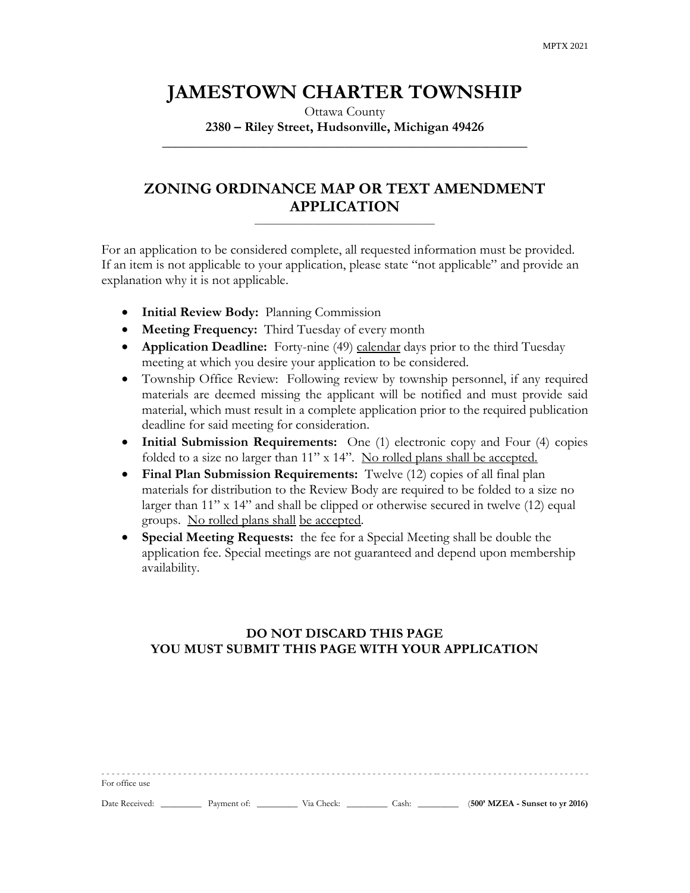# **JAMESTOWN CHARTER TOWNSHIP**

Ottawa County **2380 – Riley Street, Hudsonville, Michigan 49426**

**\_\_\_\_\_\_\_\_\_\_\_\_\_\_\_\_\_\_\_\_\_\_\_\_\_\_\_\_\_\_\_\_\_\_\_\_\_\_\_\_\_\_\_\_\_\_\_\_\_\_\_\_\_\_**

## **ZONING ORDINANCE MAP OR TEXT AMENDMENT APPLICATION**

\_\_\_\_\_\_\_\_\_\_\_\_\_\_\_\_\_\_\_\_\_\_\_\_\_\_\_\_\_\_\_\_\_\_\_\_\_\_\_\_

For an application to be considered complete, all requested information must be provided. If an item is not applicable to your application, please state "not applicable" and provide an explanation why it is not applicable.

- **Initial Review Body:** Planning Commission
- **Meeting Frequency:** Third Tuesday of every month
- **Application Deadline:** Forty-nine (49) calendar days prior to the third Tuesday meeting at which you desire your application to be considered.
- Township Office Review: Following review by township personnel, if any required materials are deemed missing the applicant will be notified and must provide said material, which must result in a complete application prior to the required publication deadline for said meeting for consideration.
- **Initial Submission Requirements:** One (1) electronic copy and Four (4) copies folded to a size no larger than 11" x 14". No rolled plans shall be accepted.
- **Final Plan Submission Requirements:** Twelve (12) copies of all final plan materials for distribution to the Review Body are required to be folded to a size no larger than 11" x 14" and shall be clipped or otherwise secured in twelve (12) equal groups. No rolled plans shall be accepted.
- **Special Meeting Requests:** the fee for a Special Meeting shall be double the application fee. Special meetings are not guaranteed and depend upon membership availability.

### **DO NOT DISCARD THIS PAGE YOU MUST SUBMIT THIS PAGE WITH YOUR APPLICATION**

| For office use |             |            |       |                                   |
|----------------|-------------|------------|-------|-----------------------------------|
| Date Received: | Payment of: | Via Check: | Cash: | $(500'$ MZEA - Sunset to yr 2016) |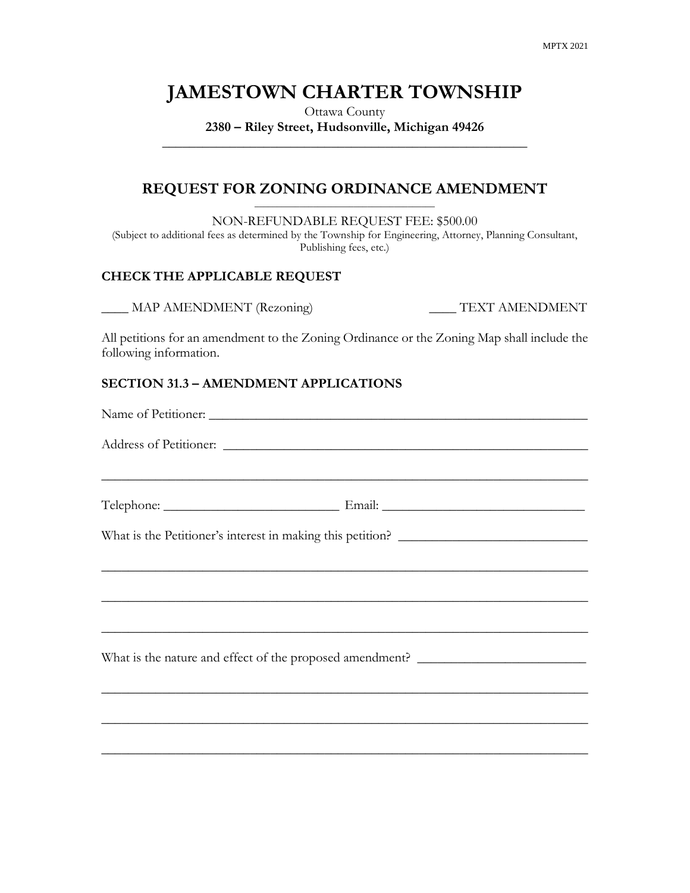# **JAMESTOWN CHARTER TOWNSHIP**

Ottawa County **2380 – Riley Street, Hudsonville, Michigan 49426 \_\_\_\_\_\_\_\_\_\_\_\_\_\_\_\_\_\_\_\_\_\_\_\_\_\_\_\_\_\_\_\_\_\_\_\_\_\_\_\_\_\_\_\_\_\_\_\_\_\_\_\_\_\_**

#### **REQUEST FOR ZONING ORDINANCE AMENDMENT** \_\_\_\_\_\_\_\_\_\_\_\_\_\_\_\_\_\_\_\_\_\_\_\_\_\_\_\_\_\_\_\_\_\_\_\_\_\_\_\_

NON-REFUNDABLE REQUEST FEE: \$500.00

(Subject to additional fees as determined by the Township for Engineering, Attorney, Planning Consultant, Publishing fees, etc.)

#### **CHECK THE APPLICABLE REQUEST**

\_\_\_\_ MAP AMENDMENT (Rezoning) \_\_\_\_ TEXT AMENDMENT

All petitions for an amendment to the Zoning Ordinance or the Zoning Map shall include the following information.

#### **SECTION 31.3 – AMENDMENT APPLICATIONS**

| What is the Petitioner's interest in making this petition? ______________________                                    |  |
|----------------------------------------------------------------------------------------------------------------------|--|
|                                                                                                                      |  |
|                                                                                                                      |  |
| ,我们也不能在这里的人,我们也不能在这里的人,我们也不能在这里的人,我们也不能在这里的人,我们也不能在这里的人,我们也不能在这里的人,我们也不能在这里的人,我们也                                    |  |
| What is the nature and effect of the proposed amendment? ________________________                                    |  |
| <u> 1989 - Johann John Harry Harry Harry Harry Harry Harry Harry Harry Harry Harry Harry Harry Harry Harry Harry</u> |  |
|                                                                                                                      |  |
| ,我们也不能在这里的人,我们也不能在这里的人,我们也不能在这里的人,我们也不能在这里的人,我们也不能在这里的人,我们也不能在这里的人,我们也不能在这里的人,我们也                                    |  |
|                                                                                                                      |  |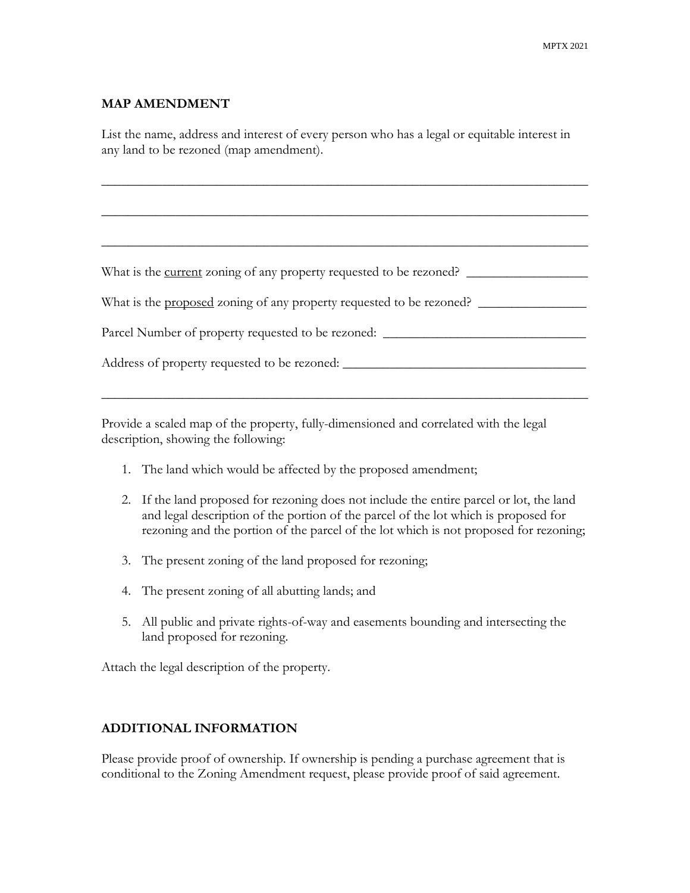#### **MAP AMENDMENT**

List the name, address and interest of every person who has a legal or equitable interest in any land to be rezoned (map amendment).

 $\_$  , and the set of the set of the set of the set of the set of the set of the set of the set of the set of the set of the set of the set of the set of the set of the set of the set of the set of the set of the set of th

 $\_$  , and the set of the set of the set of the set of the set of the set of the set of the set of the set of the set of the set of the set of the set of the set of the set of the set of the set of the set of the set of th

 $\_$  , and the set of the set of the set of the set of the set of the set of the set of the set of the set of the set of the set of the set of the set of the set of the set of the set of the set of the set of the set of th

What is the current zoning of any property requested to be rezoned? \_\_\_\_\_\_\_\_\_\_\_\_\_\_\_\_\_\_

What is the <u>proposed</u> zoning of any property requested to be rezoned?

| Parcel Number of property requested to be rezoned: |  |
|----------------------------------------------------|--|
|                                                    |  |

 $\_$  , and the set of the set of the set of the set of the set of the set of the set of the set of the set of the set of the set of the set of the set of the set of the set of the set of the set of the set of the set of th

Address of property requested to be rezoned: \_\_\_\_\_\_\_\_\_\_\_\_\_\_\_\_\_\_\_\_\_\_\_\_\_\_\_\_\_\_\_\_\_\_\_\_

Provide a scaled map of the property, fully-dimensioned and correlated with the legal description, showing the following:

- 1. The land which would be affected by the proposed amendment;
- 2. If the land proposed for rezoning does not include the entire parcel or lot, the land and legal description of the portion of the parcel of the lot which is proposed for rezoning and the portion of the parcel of the lot which is not proposed for rezoning;
- 3. The present zoning of the land proposed for rezoning;
- 4. The present zoning of all abutting lands; and
- 5. All public and private rights-of-way and easements bounding and intersecting the land proposed for rezoning.

Attach the legal description of the property.

#### **ADDITIONAL INFORMATION**

Please provide proof of ownership. If ownership is pending a purchase agreement that is conditional to the Zoning Amendment request, please provide proof of said agreement.